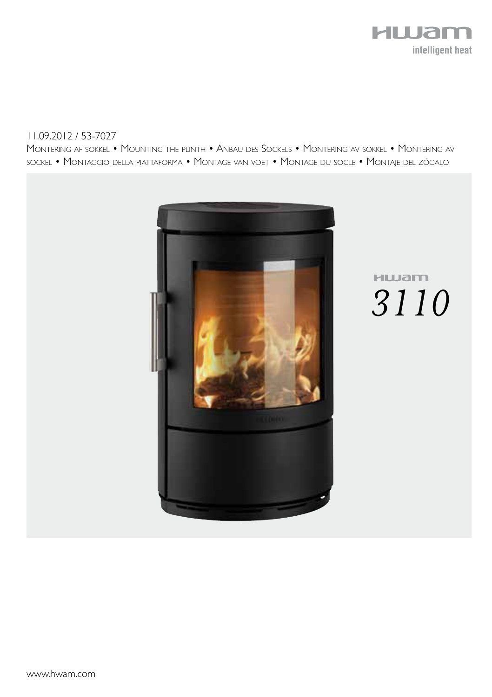

#### 11.09.2012 / 53-7027

Montering af sokkel • Mounting the plinth • Anbau des Sockels • Montering av sokkel • Montering av sockel • Montaggio della piattaforma • Montage van voet • Montage du socle • Montaje del zócalo



# **HLUam** *3110*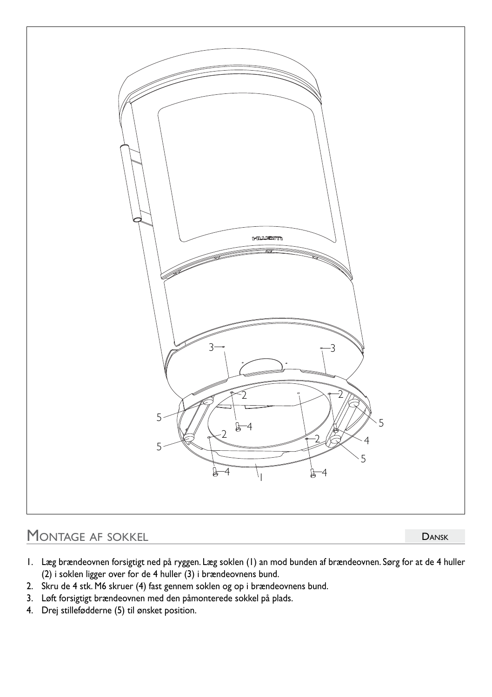

### MONTAGE AF SOKKEL

**DANSK** 

- 1. Læg brændeovnen forsigtigt ned på ryggen. Læg soklen (1) an mod bunden af brændeovnen. Sørg for at de 4 huller (2) i soklen ligger over for de 4 huller (3) i brændeovnens bund.
- 2. Skru de 4 stk. M6 skruer (4) fast gennem soklen og op i brændeovnens bund.
- 3. Løft forsigtigt brændeovnen med den påmonterede sokkel på plads.
- 4. Drej stillefødderne (5) til ønsket position.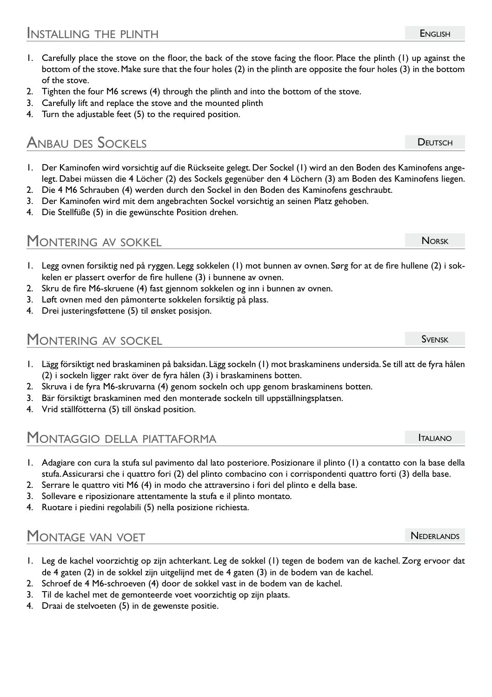- 1. Carefully place the stove on the floor, the back of the stove facing the floor. Place the plinth (1) up against the bottom of the stove. Make sure that the four holes (2) in the plinth are opposite the four holes (3) in the bottom of the stove.
- 2. Tighten the four M6 screws (4) through the plinth and into the bottom of the stove.
- 3. Carefully lift and replace the stove and the mounted plinth
- 4. Turn the adjustable feet (5) to the required position.

## Anbau des Sockels

- 1. Der Kaminofen wird vorsichtig auf die Rückseite gelegt. Der Sockel (1) wird an den Boden des Kaminofens angelegt. Dabei müssen die 4 Löcher (2) des Sockels gegenüber den 4 Löchern (3) am Boden des Kaminofens liegen.
- 2. Die 4 M6 Schrauben (4) werden durch den Sockel in den Boden des Kaminofens geschraubt.
- 3. Der Kaminofen wird mit dem angebrachten Sockel vorsichtig an seinen Platz gehoben.
- 4. Die Stellfüße (5) in die gewünschte Position drehen.

#### MONTERING AV SOKKEL

- 1. Legg ovnen forsiktig ned på ryggen. Legg sokkelen (1) mot bunnen av ovnen. Sørg for at de fire hullene (2) i sokkelen er plassert overfor de fire hullene (3) i bunnene av ovnen.
- 2. Skru de fire M6-skruene (4) fast gjennom sokkelen og inn i bunnen av ovnen.
- 3. Løft ovnen med den påmonterte sokkelen forsiktig på plass.
- 4. Drei justeringsføttene (5) til ønsket posisjon.

#### Montering av sockel

- 1. Lägg försiktigt ned braskaminen på baksidan. Lägg sockeln (1) mot braskaminens undersida. Se till att de fyra hålen (2) i sockeln ligger rakt över de fyra hålen (3) i braskaminens botten.
- 2. Skruva i de fyra M6-skruvarna (4) genom sockeln och upp genom braskaminens botten.
- 3. Bär försiktigt braskaminen med den monterade sockeln till uppställningsplatsen.
- 4. Vrid ställfötterna (5) till önskad position.

#### Montaggio della piattaforma

- 1. Adagiare con cura la stufa sul pavimento dal lato posteriore. Posizionare il plinto (1) a contatto con la base della stufa. Assicurarsi che i quattro fori (2) del plinto combacino con i corrispondenti quattro forti (3) della base.
- 2. Serrare le quattro viti M6 (4) in modo che attraversino i fori del plinto e della base.
- 3. Sollevare e riposizionare attentamente la stufa e il plinto montato.
- 4. Ruotare i piedini regolabili (5) nella posizione richiesta.

#### MONTAGE VAN VOET

- 1. Leg de kachel voorzichtig op zijn achterkant. Leg de sokkel (1) tegen de bodem van de kachel. Zorg ervoor dat de 4 gaten (2) in de sokkel zijn uitgelijnd met de 4 gaten (3) in de bodem van de kachel.
- 2. Schroef de 4 M6-schroeven (4) door de sokkel vast in de bodem van de kachel.
- 3. Til de kachel met de gemonteerde voet voorzichtig op zijn plaats.
- 4. Draai de stelvoeten (5) in de gewenste positie.

**NEDERLANDS** 

**NORSK** 

**DEUTSCH** 

**ITALIANO** 

Svensk